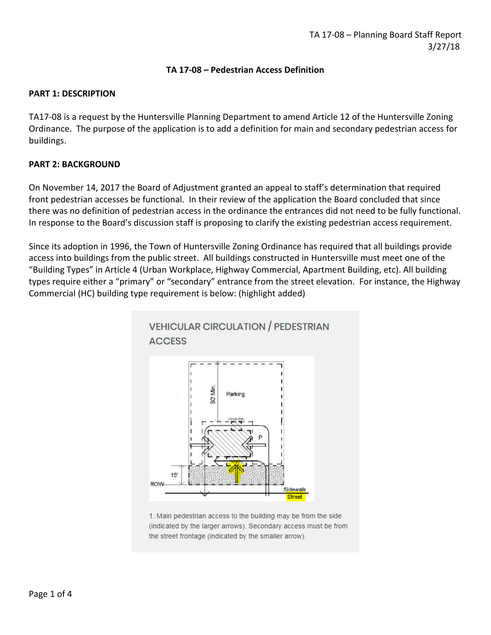## **TA 17-08 – Pedestrian Access Definition**

#### **PART 1: DESCRIPTION**

TA17-08 is a request by the Huntersville Planning Department to amend Article 12 of the Huntersville Zoning Ordinance. The purpose of the application is to add a definition for main and secondary pedestrian access for buildings.

### **PART 2: BACKGROUND**

On November 14, 2017 the Board of Adjustment granted an appeal to staff's determination that required front pedestrian accesses be functional. In their review of the application the Board concluded that since there was no definition of pedestrian access in the ordinance the entrances did not need to be fully functional. In response to the Board's discussion staff is proposing to clarify the existing pedestrian access requirement.

Since its adoption in 1996, the Town of Huntersville Zoning Ordinance has required that all buildings provide access into buildings from the public street. All buildings constructed in Huntersville must meet one of the "Building Types" in Article 4 (Urban Workplace, Highway Commercial, Apartment Building, etc). All building types require either a "primary" or "secondary" entrance from the street elevation. For instance, the Highway Commercial (HC) building type requirement is below: (highlight added)



1. Main pedestrian access to the building may be from the side (indicated by the larger arrows). Secondary access must be from the street frontage (indicated by the smaller arrow).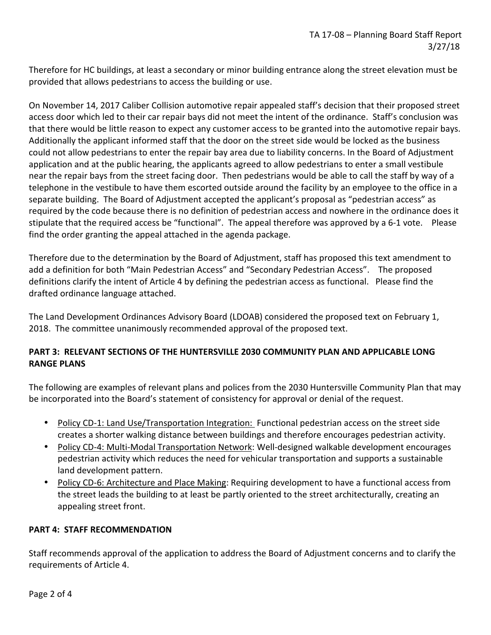Therefore for HC buildings, at least a secondary or minor building entrance along the street elevation must be provided that allows pedestrians to access the building or use.

On November 14, 2017 Caliber Collision automotive repair appealed staff's decision that their proposed street access door which led to their car repair bays did not meet the intent of the ordinance. Staff's conclusion was that there would be little reason to expect any customer access to be granted into the automotive repair bays. Additionally the applicant informed staff that the door on the street side would be locked as the business could not allow pedestrians to enter the repair bay area due to liability concerns. In the Board of Adjustment application and at the public hearing, the applicants agreed to allow pedestrians to enter a small vestibule near the repair bays from the street facing door. Then pedestrians would be able to call the staff by way of a telephone in the vestibule to have them escorted outside around the facility by an employee to the office in a separate building. The Board of Adjustment accepted the applicant's proposal as "pedestrian access" as required by the code because there is no definition of pedestrian access and nowhere in the ordinance does it stipulate that the required access be "functional". The appeal therefore was approved by a 6-1 vote. Please find the order granting the appeal attached in the agenda package.

Therefore due to the determination by the Board of Adjustment, staff has proposed this text amendment to add a definition for both "Main Pedestrian Access" and "Secondary Pedestrian Access". The proposed definitions clarify the intent of Article 4 by defining the pedestrian access as functional. Please find the drafted ordinance language attached.

The Land Development Ordinances Advisory Board (LDOAB) considered the proposed text on February 1, 2018. The committee unanimously recommended approval of the proposed text.

# **PART 3: RELEVANT SECTIONS OF THE HUNTERSVILLE 2030 COMMUNITY PLAN AND APPLICABLE LONG RANGE PLANS**

The following are examples of relevant plans and polices from the 2030 Huntersville Community Plan that may be incorporated into the Board's statement of consistency for approval or denial of the request.

- Policy CD-1: Land Use/Transportation Integration: Functional pedestrian access on the street side creates a shorter walking distance between buildings and therefore encourages pedestrian activity.
- Policy CD-4: Multi-Modal Transportation Network: Well-designed walkable development encourages pedestrian activity which reduces the need for vehicular transportation and supports a sustainable land development pattern.
- Policy CD-6: Architecture and Place Making: Requiring development to have a functional access from the street leads the building to at least be partly oriented to the street architecturally, creating an appealing street front.

# **PART 4: STAFF RECOMMENDATION**

Staff recommends approval of the application to address the Board of Adjustment concerns and to clarify the requirements of Article 4.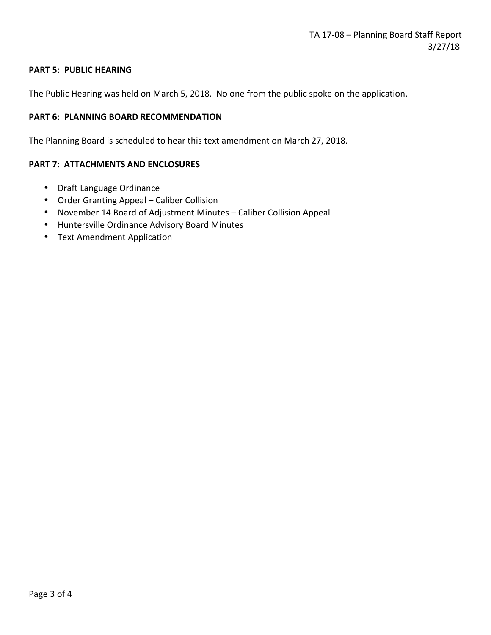### **PART 5: PUBLIC HEARING**

The Public Hearing was held on March 5, 2018. No one from the public spoke on the application.

#### **PART 6: PLANNING BOARD RECOMMENDATION**

The Planning Board is scheduled to hear this text amendment on March 27, 2018.

### **PART 7: ATTACHMENTS AND ENCLOSURES**

- Draft Language Ordinance
- Order Granting Appeal Caliber Collision
- November 14 Board of Adjustment Minutes Caliber Collision Appeal
- Huntersville Ordinance Advisory Board Minutes
- Text Amendment Application